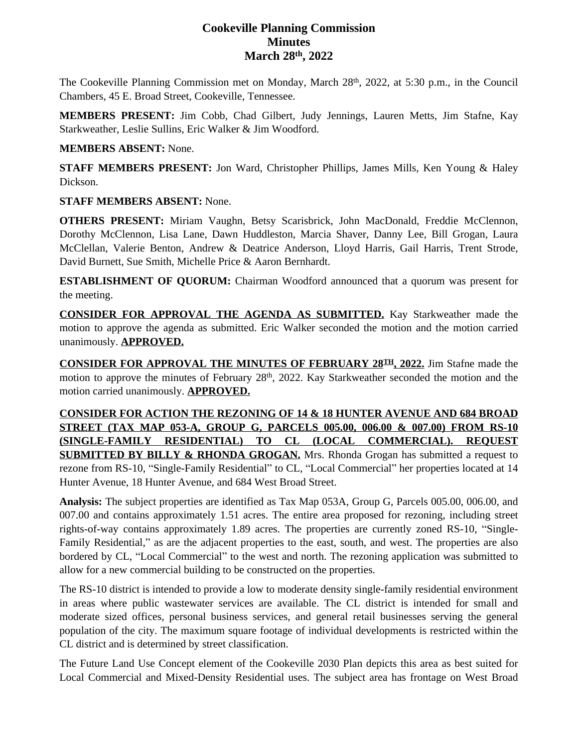# **Cookeville Planning Commission Minutes March 28th, 2022**

The Cookeville Planning Commission met on Monday, March 28<sup>th</sup>, 2022, at 5:30 p.m., in the Council Chambers, 45 E. Broad Street, Cookeville, Tennessee.

**MEMBERS PRESENT:** Jim Cobb, Chad Gilbert, Judy Jennings, Lauren Metts, Jim Stafne, Kay Starkweather, Leslie Sullins, Eric Walker & Jim Woodford.

### **MEMBERS ABSENT:** None.

**STAFF MEMBERS PRESENT:** Jon Ward, Christopher Phillips, James Mills, Ken Young & Haley Dickson.

### **STAFF MEMBERS ABSENT:** None.

**OTHERS PRESENT:** Miriam Vaughn, Betsy Scarisbrick, John MacDonald, Freddie McClennon, Dorothy McClennon, Lisa Lane, Dawn Huddleston, Marcia Shaver, Danny Lee, Bill Grogan, Laura McClellan, Valerie Benton, Andrew & Deatrice Anderson, Lloyd Harris, Gail Harris, Trent Strode, David Burnett, Sue Smith, Michelle Price & Aaron Bernhardt.

**ESTABLISHMENT OF QUORUM:** Chairman Woodford announced that a quorum was present for the meeting.

**CONSIDER FOR APPROVAL THE AGENDA AS SUBMITTED.** Kay Starkweather made the motion to approve the agenda as submitted. Eric Walker seconded the motion and the motion carried unanimously. **APPROVED.**

**CONSIDER FOR APPROVAL THE MINUTES OF FEBRUARY 28TH , 2022.** Jim Stafne made the motion to approve the minutes of February 28<sup>th</sup>, 2022. Kay Starkweather seconded the motion and the motion carried unanimously. **APPROVED.**

**CONSIDER FOR ACTION THE REZONING OF 14 & 18 HUNTER AVENUE AND 684 BROAD STREET (TAX MAP 053-A, GROUP G, PARCELS 005.00, 006.00 & 007.00) FROM RS-10 (SINGLE-FAMILY RESIDENTIAL) TO CL (LOCAL COMMERCIAL). REQUEST SUBMITTED BY BILLY & RHONDA GROGAN.** Mrs. Rhonda Grogan has submitted a request to rezone from RS-10, "Single-Family Residential" to CL, "Local Commercial" her properties located at 14 Hunter Avenue, 18 Hunter Avenue, and 684 West Broad Street.

**Analysis:** The subject properties are identified as Tax Map 053A, Group G, Parcels 005.00, 006.00, and 007.00 and contains approximately 1.51 acres. The entire area proposed for rezoning, including street rights-of-way contains approximately 1.89 acres. The properties are currently zoned RS-10, "Single-Family Residential," as are the adjacent properties to the east, south, and west. The properties are also bordered by CL, "Local Commercial" to the west and north. The rezoning application was submitted to allow for a new commercial building to be constructed on the properties.

The RS-10 district is intended to provide a low to moderate density single-family residential environment in areas where public wastewater services are available. The CL district is intended for small and moderate sized offices, personal business services, and general retail businesses serving the general population of the city. The maximum square footage of individual developments is restricted within the CL district and is determined by street classification.

The Future Land Use Concept element of the Cookeville 2030 Plan depicts this area as best suited for Local Commercial and Mixed-Density Residential uses. The subject area has frontage on West Broad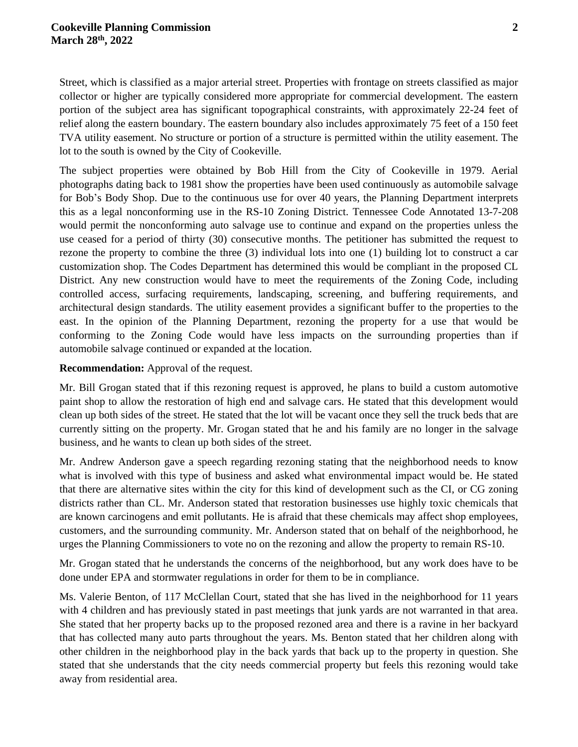Street, which is classified as a major arterial street. Properties with frontage on streets classified as major collector or higher are typically considered more appropriate for commercial development. The eastern portion of the subject area has significant topographical constraints, with approximately 22-24 feet of relief along the eastern boundary. The eastern boundary also includes approximately 75 feet of a 150 feet TVA utility easement. No structure or portion of a structure is permitted within the utility easement. The lot to the south is owned by the City of Cookeville.

The subject properties were obtained by Bob Hill from the City of Cookeville in 1979. Aerial photographs dating back to 1981 show the properties have been used continuously as automobile salvage for Bob's Body Shop. Due to the continuous use for over 40 years, the Planning Department interprets this as a legal nonconforming use in the RS-10 Zoning District. Tennessee Code Annotated 13-7-208 would permit the nonconforming auto salvage use to continue and expand on the properties unless the use ceased for a period of thirty (30) consecutive months. The petitioner has submitted the request to rezone the property to combine the three (3) individual lots into one (1) building lot to construct a car customization shop. The Codes Department has determined this would be compliant in the proposed CL District. Any new construction would have to meet the requirements of the Zoning Code, including controlled access, surfacing requirements, landscaping, screening, and buffering requirements, and architectural design standards. The utility easement provides a significant buffer to the properties to the east. In the opinion of the Planning Department, rezoning the property for a use that would be conforming to the Zoning Code would have less impacts on the surrounding properties than if automobile salvage continued or expanded at the location.

#### **Recommendation:** Approval of the request.

Mr. Bill Grogan stated that if this rezoning request is approved, he plans to build a custom automotive paint shop to allow the restoration of high end and salvage cars. He stated that this development would clean up both sides of the street. He stated that the lot will be vacant once they sell the truck beds that are currently sitting on the property. Mr. Grogan stated that he and his family are no longer in the salvage business, and he wants to clean up both sides of the street.

Mr. Andrew Anderson gave a speech regarding rezoning stating that the neighborhood needs to know what is involved with this type of business and asked what environmental impact would be. He stated that there are alternative sites within the city for this kind of development such as the CI, or CG zoning districts rather than CL. Mr. Anderson stated that restoration businesses use highly toxic chemicals that are known carcinogens and emit pollutants. He is afraid that these chemicals may affect shop employees, customers, and the surrounding community. Mr. Anderson stated that on behalf of the neighborhood, he urges the Planning Commissioners to vote no on the rezoning and allow the property to remain RS-10.

Mr. Grogan stated that he understands the concerns of the neighborhood, but any work does have to be done under EPA and stormwater regulations in order for them to be in compliance.

Ms. Valerie Benton, of 117 McClellan Court, stated that she has lived in the neighborhood for 11 years with 4 children and has previously stated in past meetings that junk yards are not warranted in that area. She stated that her property backs up to the proposed rezoned area and there is a ravine in her backyard that has collected many auto parts throughout the years. Ms. Benton stated that her children along with other children in the neighborhood play in the back yards that back up to the property in question. She stated that she understands that the city needs commercial property but feels this rezoning would take away from residential area.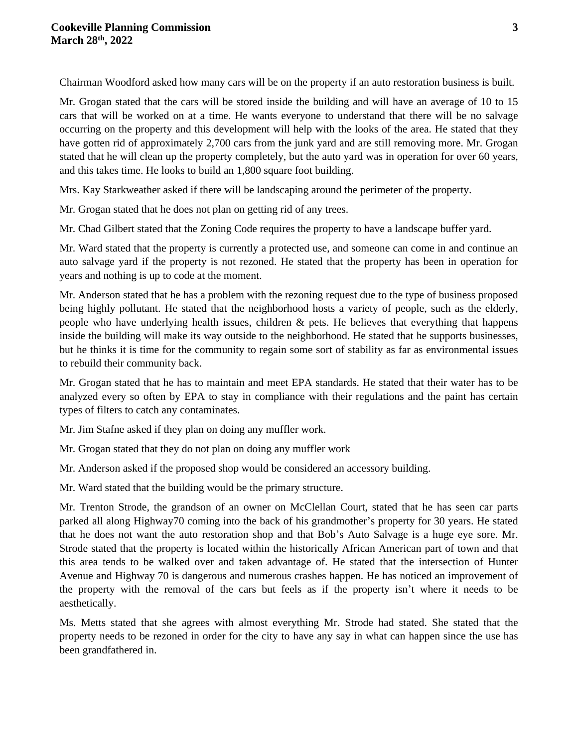Chairman Woodford asked how many cars will be on the property if an auto restoration business is built.

Mr. Grogan stated that the cars will be stored inside the building and will have an average of 10 to 15 cars that will be worked on at a time. He wants everyone to understand that there will be no salvage occurring on the property and this development will help with the looks of the area. He stated that they have gotten rid of approximately 2,700 cars from the junk yard and are still removing more. Mr. Grogan stated that he will clean up the property completely, but the auto yard was in operation for over 60 years, and this takes time. He looks to build an 1,800 square foot building.

Mrs. Kay Starkweather asked if there will be landscaping around the perimeter of the property.

Mr. Grogan stated that he does not plan on getting rid of any trees.

Mr. Chad Gilbert stated that the Zoning Code requires the property to have a landscape buffer yard.

Mr. Ward stated that the property is currently a protected use, and someone can come in and continue an auto salvage yard if the property is not rezoned. He stated that the property has been in operation for years and nothing is up to code at the moment.

Mr. Anderson stated that he has a problem with the rezoning request due to the type of business proposed being highly pollutant. He stated that the neighborhood hosts a variety of people, such as the elderly, people who have underlying health issues, children & pets. He believes that everything that happens inside the building will make its way outside to the neighborhood. He stated that he supports businesses, but he thinks it is time for the community to regain some sort of stability as far as environmental issues to rebuild their community back.

Mr. Grogan stated that he has to maintain and meet EPA standards. He stated that their water has to be analyzed every so often by EPA to stay in compliance with their regulations and the paint has certain types of filters to catch any contaminates.

Mr. Jim Stafne asked if they plan on doing any muffler work.

Mr. Grogan stated that they do not plan on doing any muffler work

Mr. Anderson asked if the proposed shop would be considered an accessory building.

Mr. Ward stated that the building would be the primary structure.

Mr. Trenton Strode, the grandson of an owner on McClellan Court, stated that he has seen car parts parked all along Highway70 coming into the back of his grandmother's property for 30 years. He stated that he does not want the auto restoration shop and that Bob's Auto Salvage is a huge eye sore. Mr. Strode stated that the property is located within the historically African American part of town and that this area tends to be walked over and taken advantage of. He stated that the intersection of Hunter Avenue and Highway 70 is dangerous and numerous crashes happen. He has noticed an improvement of the property with the removal of the cars but feels as if the property isn't where it needs to be aesthetically.

Ms. Metts stated that she agrees with almost everything Mr. Strode had stated. She stated that the property needs to be rezoned in order for the city to have any say in what can happen since the use has been grandfathered in.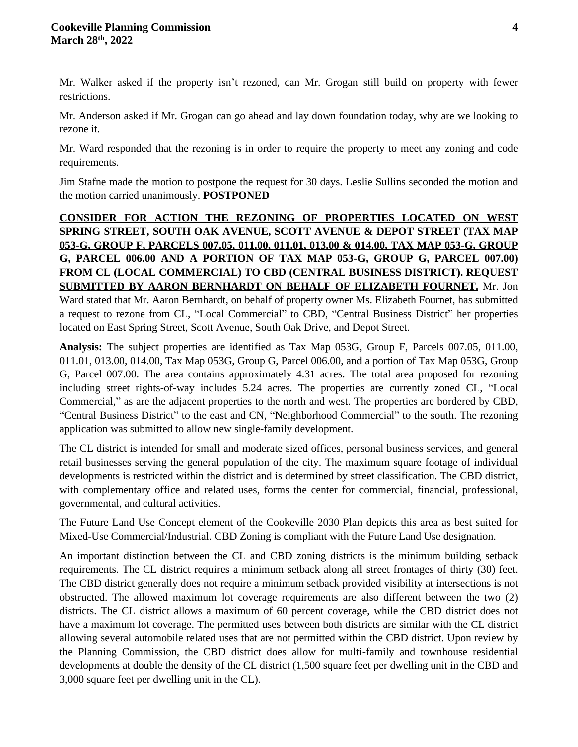Mr. Walker asked if the property isn't rezoned, can Mr. Grogan still build on property with fewer restrictions.

Mr. Anderson asked if Mr. Grogan can go ahead and lay down foundation today, why are we looking to rezone it.

Mr. Ward responded that the rezoning is in order to require the property to meet any zoning and code requirements.

Jim Stafne made the motion to postpone the request for 30 days. Leslie Sullins seconded the motion and the motion carried unanimously. **POSTPONED**

**CONSIDER FOR ACTION THE REZONING OF PROPERTIES LOCATED ON WEST SPRING STREET, SOUTH OAK AVENUE, SCOTT AVENUE & DEPOT STREET (TAX MAP 053-G, GROUP F, PARCELS 007.05, 011.00, 011.01, 013.00 & 014.00, TAX MAP 053-G, GROUP G, PARCEL 006.00 AND A PORTION OF TAX MAP 053-G, GROUP G, PARCEL 007.00) FROM CL (LOCAL COMMERCIAL) TO CBD (CENTRAL BUSINESS DISTRICT). REQUEST SUBMITTED BY AARON BERNHARDT ON BEHALF OF ELIZABETH FOURNET.** Mr. Jon Ward stated that Mr. Aaron Bernhardt, on behalf of property owner Ms. Elizabeth Fournet, has submitted a request to rezone from CL, "Local Commercial" to CBD, "Central Business District" her properties located on East Spring Street, Scott Avenue, South Oak Drive, and Depot Street.

**Analysis:** The subject properties are identified as Tax Map 053G, Group F, Parcels 007.05, 011.00, 011.01, 013.00, 014.00, Tax Map 053G, Group G, Parcel 006.00, and a portion of Tax Map 053G, Group G, Parcel 007.00. The area contains approximately 4.31 acres. The total area proposed for rezoning including street rights-of-way includes 5.24 acres. The properties are currently zoned CL, "Local Commercial," as are the adjacent properties to the north and west. The properties are bordered by CBD, "Central Business District" to the east and CN, "Neighborhood Commercial" to the south. The rezoning application was submitted to allow new single-family development.

The CL district is intended for small and moderate sized offices, personal business services, and general retail businesses serving the general population of the city. The maximum square footage of individual developments is restricted within the district and is determined by street classification. The CBD district, with complementary office and related uses, forms the center for commercial, financial, professional, governmental, and cultural activities.

The Future Land Use Concept element of the Cookeville 2030 Plan depicts this area as best suited for Mixed-Use Commercial/Industrial. CBD Zoning is compliant with the Future Land Use designation.

An important distinction between the CL and CBD zoning districts is the minimum building setback requirements. The CL district requires a minimum setback along all street frontages of thirty (30) feet. The CBD district generally does not require a minimum setback provided visibility at intersections is not obstructed. The allowed maximum lot coverage requirements are also different between the two (2) districts. The CL district allows a maximum of 60 percent coverage, while the CBD district does not have a maximum lot coverage. The permitted uses between both districts are similar with the CL district allowing several automobile related uses that are not permitted within the CBD district. Upon review by the Planning Commission, the CBD district does allow for multi-family and townhouse residential developments at double the density of the CL district (1,500 square feet per dwelling unit in the CBD and 3,000 square feet per dwelling unit in the CL).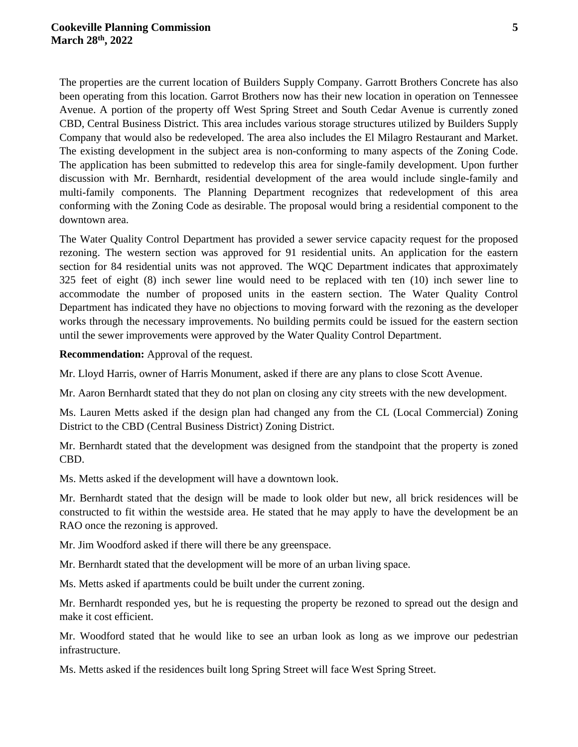The properties are the current location of Builders Supply Company. Garrott Brothers Concrete has also been operating from this location. Garrot Brothers now has their new location in operation on Tennessee Avenue. A portion of the property off West Spring Street and South Cedar Avenue is currently zoned CBD, Central Business District. This area includes various storage structures utilized by Builders Supply Company that would also be redeveloped. The area also includes the El Milagro Restaurant and Market. The existing development in the subject area is non-conforming to many aspects of the Zoning Code. The application has been submitted to redevelop this area for single-family development. Upon further discussion with Mr. Bernhardt, residential development of the area would include single-family and multi-family components. The Planning Department recognizes that redevelopment of this area conforming with the Zoning Code as desirable. The proposal would bring a residential component to the downtown area.

The Water Quality Control Department has provided a sewer service capacity request for the proposed rezoning. The western section was approved for 91 residential units. An application for the eastern section for 84 residential units was not approved. The WQC Department indicates that approximately 325 feet of eight (8) inch sewer line would need to be replaced with ten (10) inch sewer line to accommodate the number of proposed units in the eastern section. The Water Quality Control Department has indicated they have no objections to moving forward with the rezoning as the developer works through the necessary improvements. No building permits could be issued for the eastern section until the sewer improvements were approved by the Water Quality Control Department.

**Recommendation:** Approval of the request.

Mr. Lloyd Harris, owner of Harris Monument, asked if there are any plans to close Scott Avenue.

Mr. Aaron Bernhardt stated that they do not plan on closing any city streets with the new development.

Ms. Lauren Metts asked if the design plan had changed any from the CL (Local Commercial) Zoning District to the CBD (Central Business District) Zoning District.

Mr. Bernhardt stated that the development was designed from the standpoint that the property is zoned CBD.

Ms. Metts asked if the development will have a downtown look.

Mr. Bernhardt stated that the design will be made to look older but new, all brick residences will be constructed to fit within the westside area. He stated that he may apply to have the development be an RAO once the rezoning is approved.

Mr. Jim Woodford asked if there will there be any greenspace.

Mr. Bernhardt stated that the development will be more of an urban living space.

Ms. Metts asked if apartments could be built under the current zoning.

Mr. Bernhardt responded yes, but he is requesting the property be rezoned to spread out the design and make it cost efficient.

Mr. Woodford stated that he would like to see an urban look as long as we improve our pedestrian infrastructure.

Ms. Metts asked if the residences built long Spring Street will face West Spring Street.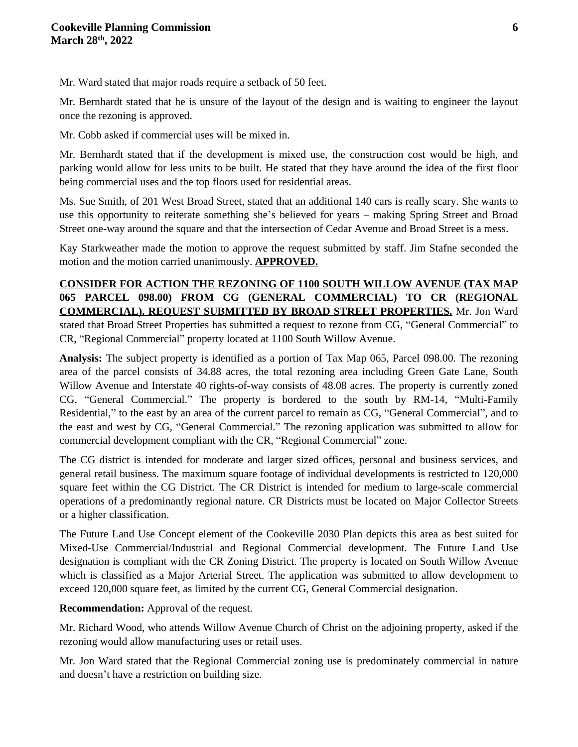Mr. Ward stated that major roads require a setback of 50 feet.

Mr. Bernhardt stated that he is unsure of the layout of the design and is waiting to engineer the layout once the rezoning is approved.

Mr. Cobb asked if commercial uses will be mixed in.

Mr. Bernhardt stated that if the development is mixed use, the construction cost would be high, and parking would allow for less units to be built. He stated that they have around the idea of the first floor being commercial uses and the top floors used for residential areas.

Ms. Sue Smith, of 201 West Broad Street, stated that an additional 140 cars is really scary. She wants to use this opportunity to reiterate something she's believed for years – making Spring Street and Broad Street one-way around the square and that the intersection of Cedar Avenue and Broad Street is a mess.

Kay Starkweather made the motion to approve the request submitted by staff. Jim Stafne seconded the motion and the motion carried unanimously. **APPROVED.**

# **CONSIDER FOR ACTION THE REZONING OF 1100 SOUTH WILLOW AVENUE (TAX MAP 065 PARCEL 098.00) FROM CG (GENERAL COMMERCIAL) TO CR (REGIONAL COMMERCIAL). REQUEST SUBMITTED BY BROAD STREET PROPERTIES.** Mr. Jon Ward

stated that Broad Street Properties has submitted a request to rezone from CG, "General Commercial" to CR, "Regional Commercial" property located at 1100 South Willow Avenue.

**Analysis:** The subject property is identified as a portion of Tax Map 065, Parcel 098.00. The rezoning area of the parcel consists of 34.88 acres, the total rezoning area including Green Gate Lane, South Willow Avenue and Interstate 40 rights-of-way consists of 48.08 acres. The property is currently zoned CG, "General Commercial." The property is bordered to the south by RM-14, "Multi-Family Residential," to the east by an area of the current parcel to remain as CG, "General Commercial", and to the east and west by CG, "General Commercial." The rezoning application was submitted to allow for commercial development compliant with the CR, "Regional Commercial" zone.

The CG district is intended for moderate and larger sized offices, personal and business services, and general retail business. The maximum square footage of individual developments is restricted to 120,000 square feet within the CG District. The CR District is intended for medium to large-scale commercial operations of a predominantly regional nature. CR Districts must be located on Major Collector Streets or a higher classification.

The Future Land Use Concept element of the Cookeville 2030 Plan depicts this area as best suited for Mixed-Use Commercial/Industrial and Regional Commercial development. The Future Land Use designation is compliant with the CR Zoning District. The property is located on South Willow Avenue which is classified as a Major Arterial Street. The application was submitted to allow development to exceed 120,000 square feet, as limited by the current CG, General Commercial designation.

**Recommendation:** Approval of the request.

Mr. Richard Wood, who attends Willow Avenue Church of Christ on the adjoining property, asked if the rezoning would allow manufacturing uses or retail uses.

Mr. Jon Ward stated that the Regional Commercial zoning use is predominately commercial in nature and doesn't have a restriction on building size.